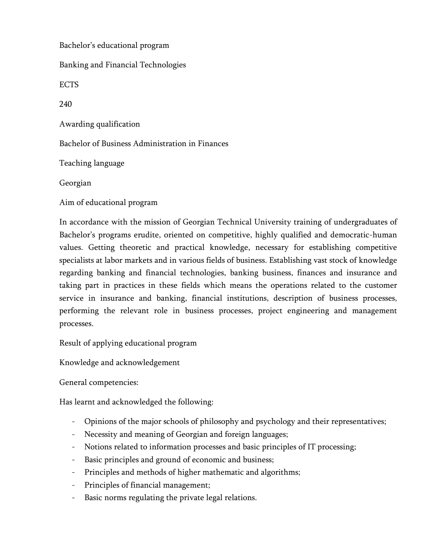Bachelor's educational program Banking and Financial Technologies ECTS 240 Awarding qualification Bachelor of Business Administration in Finances Teaching language Georgian Aim of educational program

In accordance with the mission of Georgian Technical University training of undergraduates of Bachelor's programs erudite, oriented on competitive, highly qualified and democratic-human values. Getting theoretic and practical knowledge, necessary for establishing competitive specialists at labor markets and in various fields of business. Establishing vast stock of knowledge regarding banking and financial technologies, banking business, finances and insurance and taking part in practices in these fields which means the operations related to the customer service in insurance and banking, financial institutions, description of business processes, performing the relevant role in business processes, project engineering and management processes.

Result of applying educational program

Knowledge and acknowledgement

General competencies:

Has learnt and acknowledged the following:

- Opinions of the major schools of philosophy and psychology and their representatives;
- Necessity and meaning of Georgian and foreign languages;
- Notions related to information processes and basic principles of IT processing;
- Basic principles and ground of economic and business;
- Principles and methods of higher mathematic and algorithms;
- Principles of financial management;
- Basic norms regulating the private legal relations.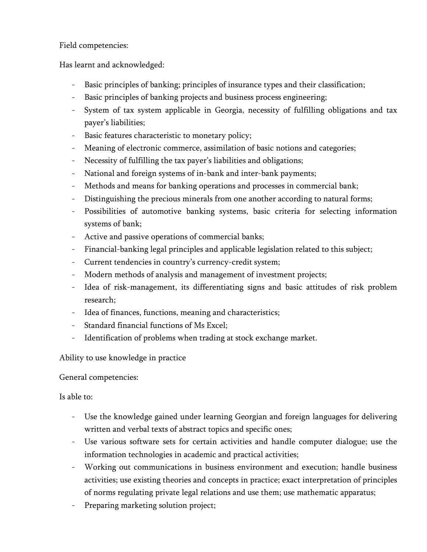### Field competencies:

Has learnt and acknowledged:

- Basic principles of banking; principles of insurance types and their classification;
- Basic principles of banking projects and business process engineering;
- System of tax system applicable in Georgia, necessity of fulfilling obligations and tax payer's liabilities;
- Basic features characteristic to monetary policy;
- Meaning of electronic commerce, assimilation of basic notions and categories;
- Necessity of fulfilling the tax payer's liabilities and obligations;
- National and foreign systems of in-bank and inter-bank payments;
- Methods and means for banking operations and processes in commercial bank;
- Distinguishing the precious minerals from one another according to natural forms;
- Possibilities of automotive banking systems, basic criteria for selecting information systems of bank;
- Active and passive operations of commercial banks;
- Financial-banking legal principles and applicable legislation related to this subject;
- Current tendencies in country's currency-credit system;
- Modern methods of analysis and management of investment projects;
- Idea of risk-management, its differentiating signs and basic attitudes of risk problem research;
- Idea of finances, functions, meaning and characteristics;
- Standard financial functions of Ms Excel;
- Identification of problems when trading at stock exchange market.

Ability to use knowledge in practice

General competencies:

Is able to:

- Use the knowledge gained under learning Georgian and foreign languages for delivering written and verbal texts of abstract topics and specific ones;
- Use various software sets for certain activities and handle computer dialogue; use the information technologies in academic and practical activities;
- Working out communications in business environment and execution; handle business activities; use existing theories and concepts in practice; exact interpretation of principles of norms regulating private legal relations and use them; use mathematic apparatus;
- Preparing marketing solution project;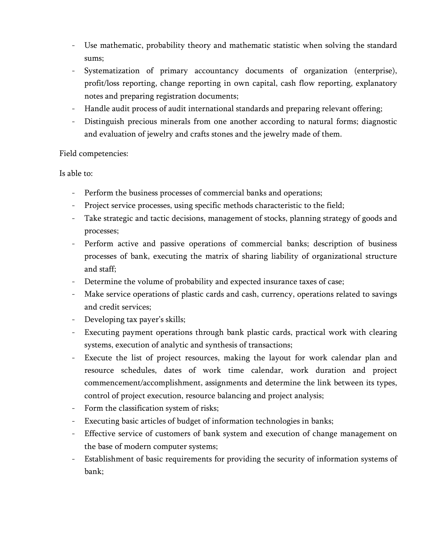- Use mathematic, probability theory and mathematic statistic when solving the standard sums;
- Systematization of primary accountancy documents of organization (enterprise), profit/loss reporting, change reporting in own capital, cash flow reporting, explanatory notes and preparing registration documents;
- Handle audit process of audit international standards and preparing relevant offering;
- Distinguish precious minerals from one another according to natural forms; diagnostic and evaluation of jewelry and crafts stones and the jewelry made of them.

#### Field competencies:

Is able to:

- Perform the business processes of commercial banks and operations;
- Project service processes, using specific methods characteristic to the field;
- Take strategic and tactic decisions, management of stocks, planning strategy of goods and processes;
- Perform active and passive operations of commercial banks; description of business processes of bank, executing the matrix of sharing liability of organizational structure and staff;
- Determine the volume of probability and expected insurance taxes of case;
- Make service operations of plastic cards and cash, currency, operations related to savings and credit services;
- Developing tax payer's skills;
- Executing payment operations through bank plastic cards, practical work with clearing systems, execution of analytic and synthesis of transactions;
- Execute the list of project resources, making the layout for work calendar plan and resource schedules, dates of work time calendar, work duration and project commencement/accomplishment, assignments and determine the link between its types, control of project execution, resource balancing and project analysis;
- Form the classification system of risks;
- Executing basic articles of budget of information technologies in banks;
- Effective service of customers of bank system and execution of change management on the base of modern computer systems;
- Establishment of basic requirements for providing the security of information systems of bank;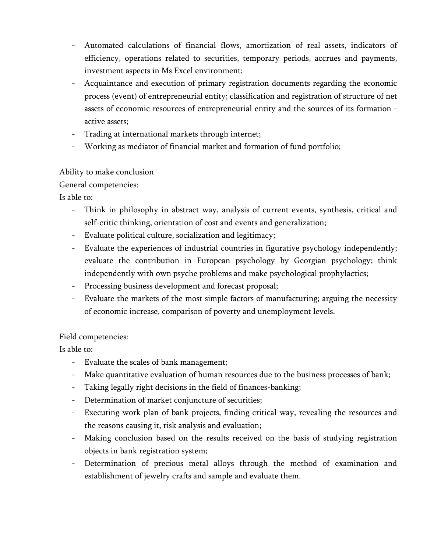- Automated calculations of financial flows, amortization of real assets, indicators of efficiency, operations related to securities, temporary periods, accrues and payments, investment aspects in Ms Excel environment;
- Acquaintance and execution of primary registration documents regarding the economic process (event) of entrepreneurial entity; classification and registration of structure of net assets of economic resources of entrepreneurial entity and the sources of its formation active assets;
- Trading at international markets through internet;
- Working as mediator of financial market and formation of fund portfolio;

### Ability to make conclusion

General competencies:

Is able to:

- Think in philosophy in abstract way, analysis of current events, synthesis, critical and self-critic thinking, orientation of cost and events and generalization;
- Evaluate political culture, socialization and legitimacy;
- Evaluate the experiences of industrial countries in figurative psychology independently; evaluate the contribution in European psychology by Georgian psychology; think independently with own psyche problems and make psychological prophylactics;
- Processing business development and forecast proposal;
- Evaluate the markets of the most simple factors of manufacturing; arguing the necessity of economic increase, comparison of poverty and unemployment levels.

# Field competencies:

Is able to:

- Evaluate the scales of bank management;
- Make quantitative evaluation of human resources due to the business processes of bank;
- Taking legally right decisions in the field of finances-banking;
- Determination of market conjuncture of securities;
- Executing work plan of bank projects, finding critical way, revealing the resources and the reasons causing it, risk analysis and evaluation;
- Making conclusion based on the results received on the basis of studying registration objects in bank registration system;
- Determination of precious metal alloys through the method of examination and establishment of jewelry crafts and sample and evaluate them.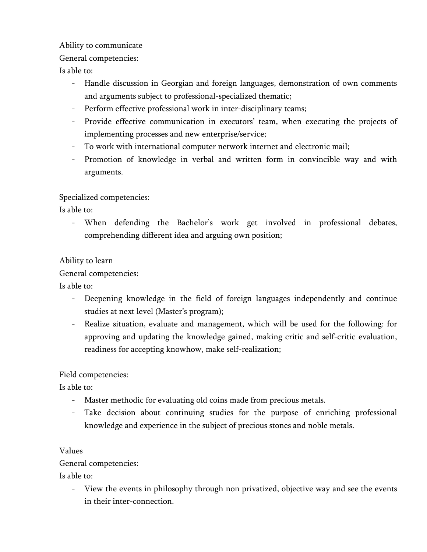### Ability to communicate

### General competencies:

Is able to:

- Handle discussion in Georgian and foreign languages, demonstration of own comments and arguments subject to professional-specialized thematic;
- Perform effective professional work in inter-disciplinary teams;
- Provide effective communication in executors' team, when executing the projects of implementing processes and new enterprise/service;
- To work with international computer network internet and electronic mail;
- Promotion of knowledge in verbal and written form in convincible way and with arguments.

# Specialized competencies:

Is able to:

When defending the Bachelor's work get involved in professional debates, comprehending different idea and arguing own position;

# Ability to learn

General competencies:

Is able to:

- Deepening knowledge in the field of foreign languages independently and continue studies at next level (Master's program);
- Realize situation, evaluate and management, which will be used for the following: for approving and updating the knowledge gained, making critic and self-critic evaluation, readiness for accepting knowhow, make self-realization;

# Field competencies:

Is able to:

- Master methodic for evaluating old coins made from precious metals.
- Take decision about continuing studies for the purpose of enriching professional knowledge and experience in the subject of precious stones and noble metals.

#### Values

# General competencies:

Is able to:

View the events in philosophy through non privatized, objective way and see the events in their inter-connection.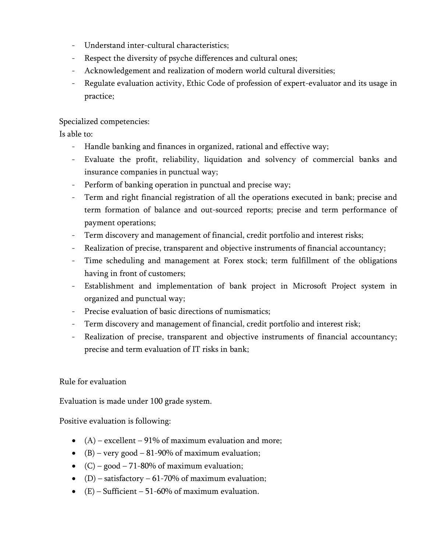- Understand inter-cultural characteristics;
- Respect the diversity of psyche differences and cultural ones;
- Acknowledgement and realization of modern world cultural diversities;
- Regulate evaluation activity, Ethic Code of profession of expert-evaluator and its usage in practice;

#### Specialized competencies:

Is able to:

- Handle banking and finances in organized, rational and effective way;
- Evaluate the profit, reliability, liquidation and solvency of commercial banks and insurance companies in punctual way;
- Perform of banking operation in punctual and precise way;
- Term and right financial registration of all the operations executed in bank; precise and term formation of balance and out-sourced reports; precise and term performance of payment operations;
- Term discovery and management of financial, credit portfolio and interest risks;
- Realization of precise, transparent and objective instruments of financial accountancy;
- Time scheduling and management at Forex stock; term fulfillment of the obligations having in front of customers;
- Establishment and implementation of bank project in Microsoft Project system in organized and punctual way;
- Precise evaluation of basic directions of numismatics;
- Term discovery and management of financial, credit portfolio and interest risk;
- Realization of precise, transparent and objective instruments of financial accountancy; precise and term evaluation of IT risks in bank;

#### Rule for evaluation

Evaluation is made under 100 grade system.

Positive evaluation is following:

- $(A)$  excellent 91% of maximum evaluation and more;
- (B) very good 81-90% of maximum evaluation;
- $(C)$  good 71-80% of maximum evaluation;
- (D) satisfactory 61-70% of maximum evaluation;
- $(E)$  Sufficient 51-60% of maximum evaluation.